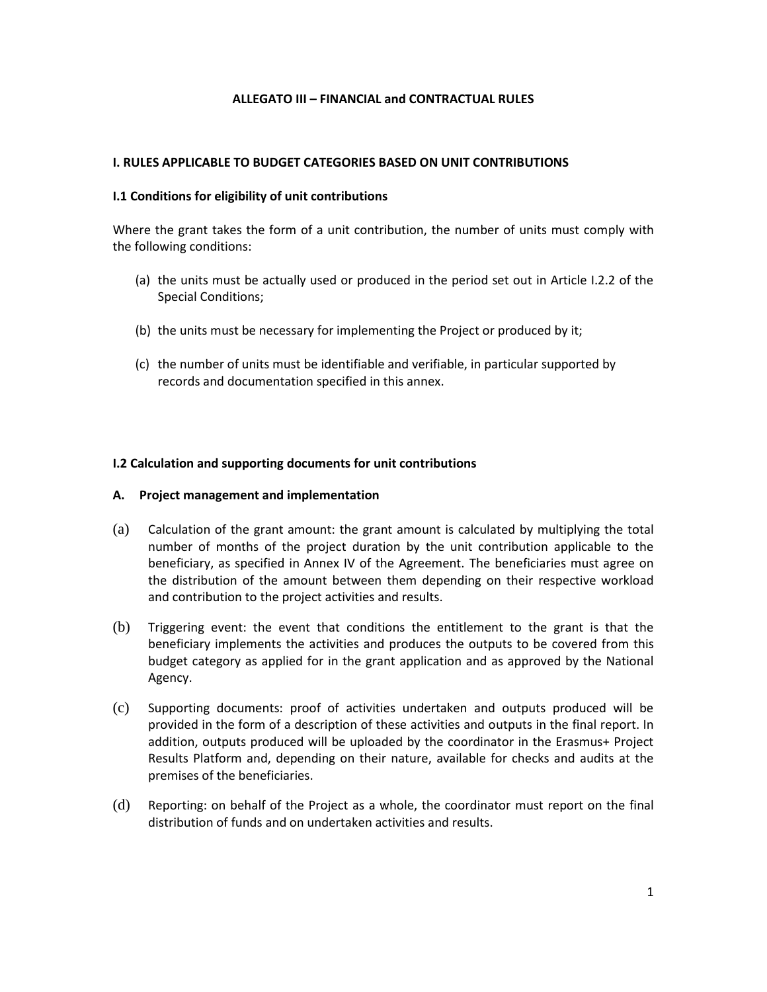## **ALLEGATO III – FINANCIAL and CONTRACTUAL RULES**

#### **I. RULES APPLICABLE TO BUDGET CATEGORIES BASED ON UNIT CONTRIBUTIONS**

#### **I.1 Conditions for eligibility of unit contributions**

Where the grant takes the form of a unit contribution, the number of units must comply with the following conditions:

- (a) the units must be actually used or produced in the period set out in Article I.2.2 of the Special Conditions;
- (b) the units must be necessary for implementing the Project or produced by it;
- (c) the number of units must be identifiable and verifiable, in particular supported by records and documentation specified in this annex.

#### **I.2 Calculation and supporting documents for unit contributions**

#### **A. Project management and implementation**

- (a) Calculation of the grant amount: the grant amount is calculated by multiplying the total number of months of the project duration by the unit contribution applicable to the beneficiary, as specified in Annex IV of the Agreement. The beneficiaries must agree on the distribution of the amount between them depending on their respective workload and contribution to the project activities and results.
- (b) Triggering event: the event that conditions the entitlement to the grant is that the beneficiary implements the activities and produces the outputs to be covered from this budget category as applied for in the grant application and as approved by the National Agency.
- (c) Supporting documents: proof of activities undertaken and outputs produced will be provided in the form of a description of these activities and outputs in the final report. In addition, outputs produced will be uploaded by the coordinator in the Erasmus+ Project Results Platform and, depending on their nature, available for checks and audits at the premises of the beneficiaries.
- (d) Reporting: on behalf of the Project as a whole, the coordinator must report on the final distribution of funds and on undertaken activities and results.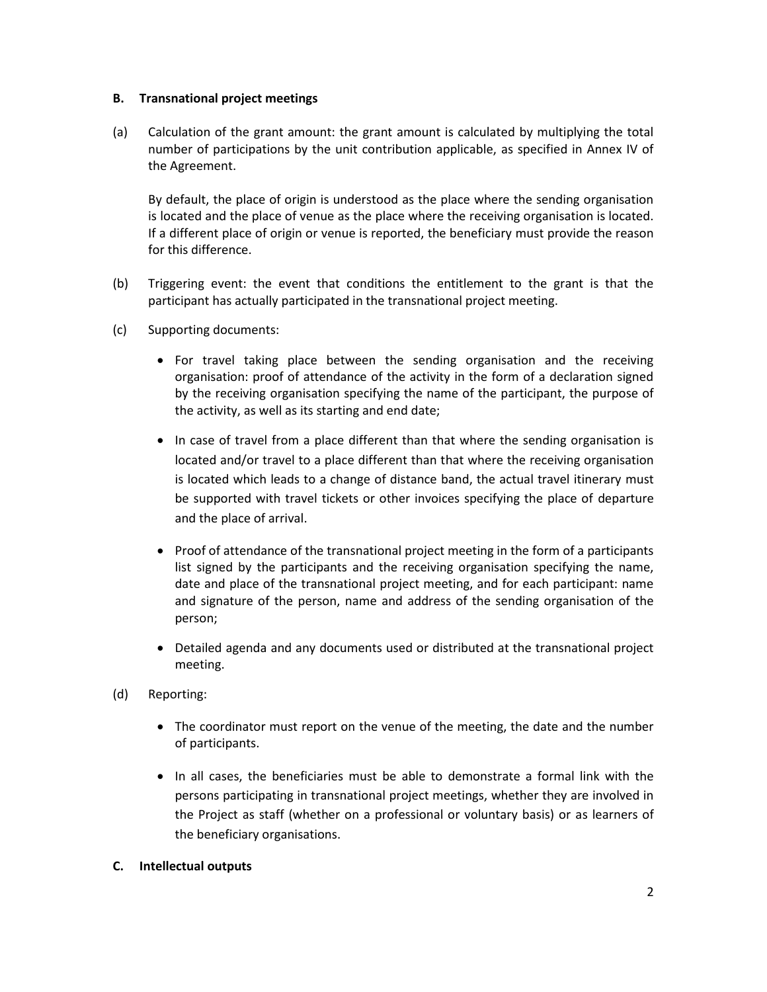## **B. Transnational project meetings**

(a) Calculation of the grant amount: the grant amount is calculated by multiplying the total number of participations by the unit contribution applicable, as specified in Annex IV of the Agreement.

By default, the place of origin is understood as the place where the sending organisation is located and the place of venue as the place where the receiving organisation is located. If a different place of origin or venue is reported, the beneficiary must provide the reason for this difference.

- (b) Triggering event: the event that conditions the entitlement to the grant is that the participant has actually participated in the transnational project meeting.
- (c) Supporting documents:
	- For travel taking place between the sending organisation and the receiving organisation: proof of attendance of the activity in the form of a declaration signed by the receiving organisation specifying the name of the participant, the purpose of the activity, as well as its starting and end date;
	- In case of travel from a place different than that where the sending organisation is located and/or travel to a place different than that where the receiving organisation is located which leads to a change of distance band, the actual travel itinerary must be supported with travel tickets or other invoices specifying the place of departure and the place of arrival.
	- Proof of attendance of the transnational project meeting in the form of a participants list signed by the participants and the receiving organisation specifying the name, date and place of the transnational project meeting, and for each participant: name and signature of the person, name and address of the sending organisation of the person;
	- Detailed agenda and any documents used or distributed at the transnational project meeting.
- (d) Reporting:
	- The coordinator must report on the venue of the meeting, the date and the number of participants.
	- In all cases, the beneficiaries must be able to demonstrate a formal link with the persons participating in transnational project meetings, whether they are involved in the Project as staff (whether on a professional or voluntary basis) or as learners of the beneficiary organisations.

## **C. Intellectual outputs**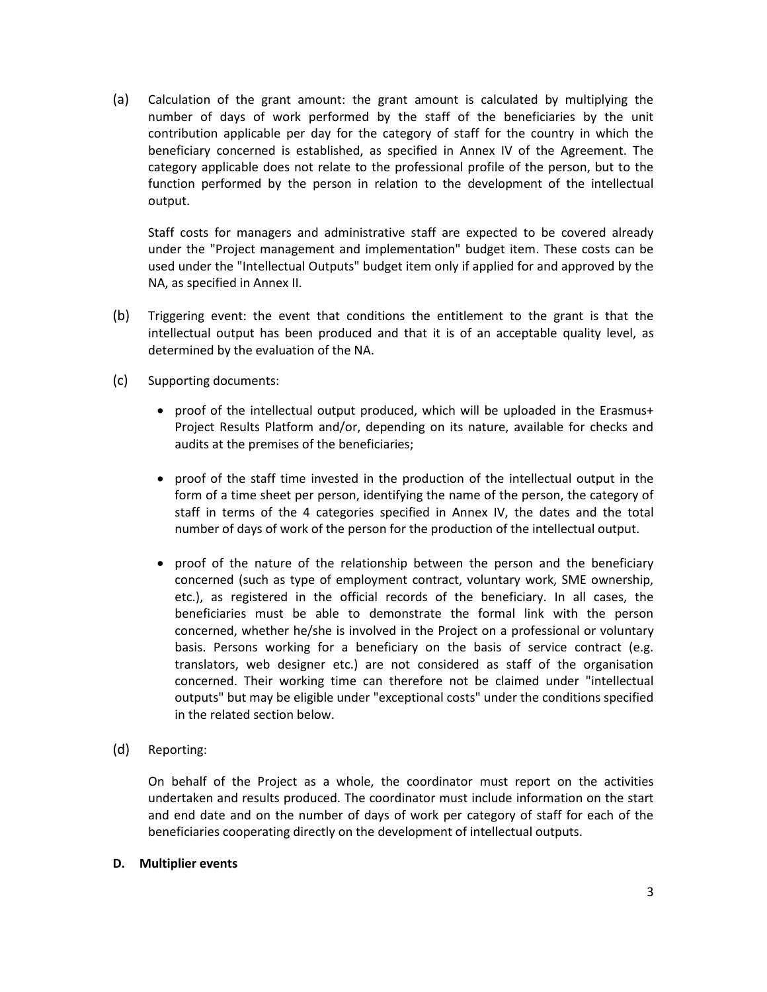(a) Calculation of the grant amount: the grant amount is calculated by multiplying the number of days of work performed by the staff of the beneficiaries by the unit contribution applicable per day for the category of staff for the country in which the beneficiary concerned is established, as specified in Annex IV of the Agreement. The category applicable does not relate to the professional profile of the person, but to the function performed by the person in relation to the development of the intellectual output.

Staff costs for managers and administrative staff are expected to be covered already under the "Project management and implementation" budget item. These costs can be used under the "Intellectual Outputs" budget item only if applied for and approved by the NA, as specified in Annex II.

- (b) Triggering event: the event that conditions the entitlement to the grant is that the intellectual output has been produced and that it is of an acceptable quality level, as determined by the evaluation of the NA.
- (c) Supporting documents:
	- proof of the intellectual output produced, which will be uploaded in the Erasmus+ Project Results Platform and/or, depending on its nature, available for checks and audits at the premises of the beneficiaries;
	- proof of the staff time invested in the production of the intellectual output in the form of a time sheet per person, identifying the name of the person, the category of staff in terms of the 4 categories specified in Annex IV, the dates and the total number of days of work of the person for the production of the intellectual output.
	- proof of the nature of the relationship between the person and the beneficiary concerned (such as type of employment contract, voluntary work, SME ownership, etc.), as registered in the official records of the beneficiary. In all cases, the beneficiaries must be able to demonstrate the formal link with the person concerned, whether he/she is involved in the Project on a professional or voluntary basis. Persons working for a beneficiary on the basis of service contract (e.g. translators, web designer etc.) are not considered as staff of the organisation concerned. Their working time can therefore not be claimed under "intellectual outputs" but may be eligible under "exceptional costs" under the conditions specified in the related section below.
- (d) Reporting:

On behalf of the Project as a whole, the coordinator must report on the activities undertaken and results produced. The coordinator must include information on the start and end date and on the number of days of work per category of staff for each of the beneficiaries cooperating directly on the development of intellectual outputs.

## **D. Multiplier events**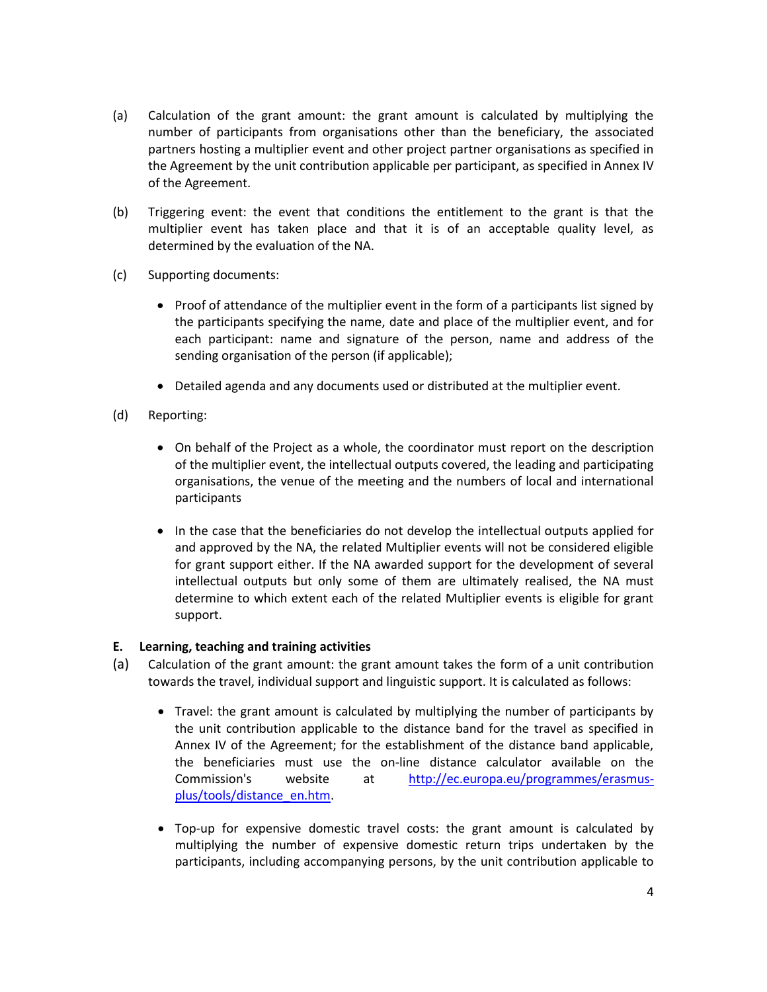- (a) Calculation of the grant amount: the grant amount is calculated by multiplying the number of participants from organisations other than the beneficiary, the associated partners hosting a multiplier event and other project partner organisations as specified in the Agreement by the unit contribution applicable per participant, as specified in Annex IV of the Agreement.
- (b) Triggering event: the event that conditions the entitlement to the grant is that the multiplier event has taken place and that it is of an acceptable quality level, as determined by the evaluation of the NA.
- (c) Supporting documents:
	- Proof of attendance of the multiplier event in the form of a participants list signed by the participants specifying the name, date and place of the multiplier event, and for each participant: name and signature of the person, name and address of the sending organisation of the person (if applicable);
	- Detailed agenda and any documents used or distributed at the multiplier event.
- (d) Reporting:
	- On behalf of the Project as a whole, the coordinator must report on the description of the multiplier event, the intellectual outputs covered, the leading and participating organisations, the venue of the meeting and the numbers of local and international participants
	- In the case that the beneficiaries do not develop the intellectual outputs applied for and approved by the NA, the related Multiplier events will not be considered eligible for grant support either. If the NA awarded support for the development of several intellectual outputs but only some of them are ultimately realised, the NA must determine to which extent each of the related Multiplier events is eligible for grant support.

## **E. Learning, teaching and training activities**

- (a) Calculation of the grant amount: the grant amount takes the form of a unit contribution towards the travel, individual support and linguistic support. It is calculated as follows:
	- Travel: the grant amount is calculated by multiplying the number of participants by the unit contribution applicable to the distance band for the travel as specified in Annex IV of the Agreement; for the establishment of the distance band applicable, the beneficiaries must use the on-line distance calculator available on the Commission's website at [http://ec.europa.eu/programmes/erasmus](http://ec.europa.eu/programmes/erasmus-plus/tools/distance_en.htm)[plus/tools/distance\\_en.htm.](http://ec.europa.eu/programmes/erasmus-plus/tools/distance_en.htm)
	- Top-up for expensive domestic travel costs: the grant amount is calculated by multiplying the number of expensive domestic return trips undertaken by the participants, including accompanying persons, by the unit contribution applicable to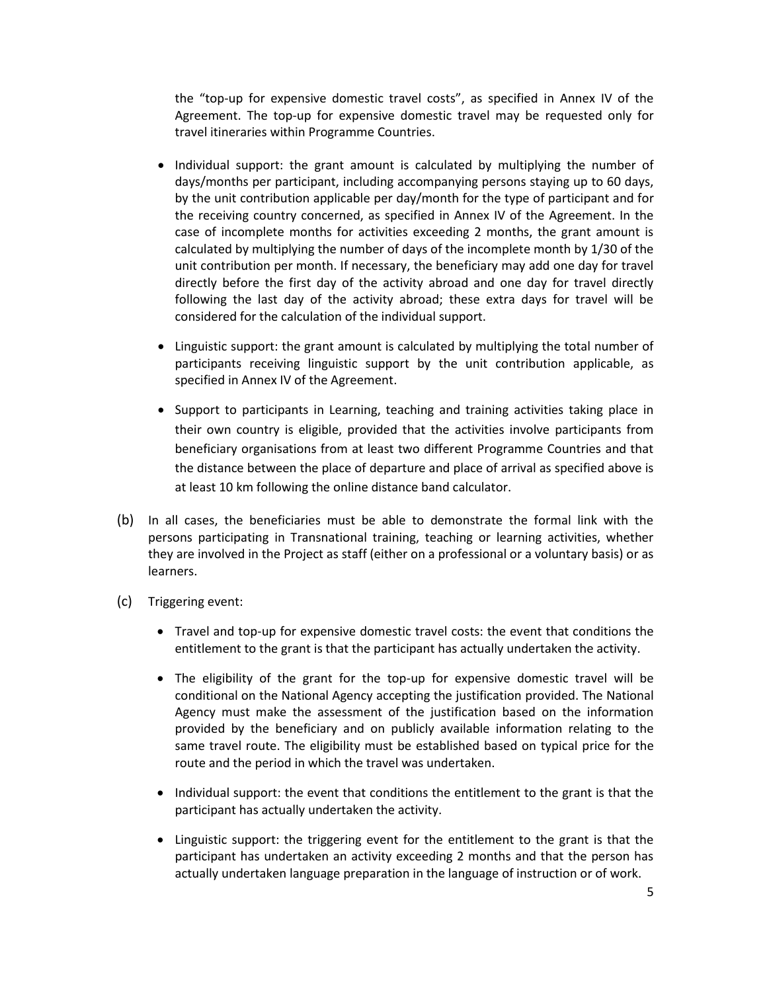the "top-up for expensive domestic travel costs", as specified in Annex IV of the Agreement. The top-up for expensive domestic travel may be requested only for travel itineraries within Programme Countries.

- Individual support: the grant amount is calculated by multiplying the number of days/months per participant, including accompanying persons staying up to 60 days, by the unit contribution applicable per day/month for the type of participant and for the receiving country concerned, as specified in Annex IV of the Agreement. In the case of incomplete months for activities exceeding 2 months, the grant amount is calculated by multiplying the number of days of the incomplete month by 1/30 of the unit contribution per month. If necessary, the beneficiary may add one day for travel directly before the first day of the activity abroad and one day for travel directly following the last day of the activity abroad; these extra days for travel will be considered for the calculation of the individual support.
- Linguistic support: the grant amount is calculated by multiplying the total number of participants receiving linguistic support by the unit contribution applicable, as specified in Annex IV of the Agreement.
- Support to participants in Learning, teaching and training activities taking place in their own country is eligible, provided that the activities involve participants from beneficiary organisations from at least two different Programme Countries and that the distance between the place of departure and place of arrival as specified above is at least 10 km following the online distance band calculator.
- (b) In all cases, the beneficiaries must be able to demonstrate the formal link with the persons participating in Transnational training, teaching or learning activities, whether they are involved in the Project as staff (either on a professional or a voluntary basis) or as learners.
- (c) Triggering event:
	- Travel and top-up for expensive domestic travel costs: the event that conditions the entitlement to the grant is that the participant has actually undertaken the activity.
	- The eligibility of the grant for the top-up for expensive domestic travel will be conditional on the National Agency accepting the justification provided. The National Agency must make the assessment of the justification based on the information provided by the beneficiary and on publicly available information relating to the same travel route. The eligibility must be established based on typical price for the route and the period in which the travel was undertaken.
	- Individual support: the event that conditions the entitlement to the grant is that the participant has actually undertaken the activity.
	- Linguistic support: the triggering event for the entitlement to the grant is that the participant has undertaken an activity exceeding 2 months and that the person has actually undertaken language preparation in the language of instruction or of work.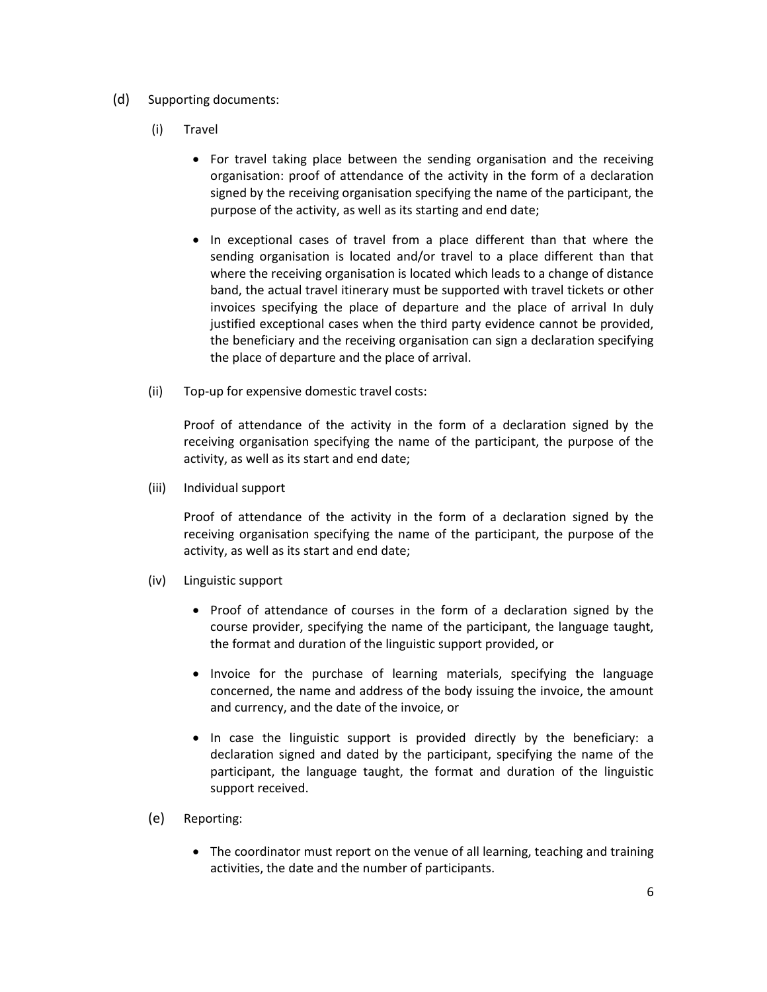- (d) Supporting documents:
	- (i) Travel
		- For travel taking place between the sending organisation and the receiving organisation: proof of attendance of the activity in the form of a declaration signed by the receiving organisation specifying the name of the participant, the purpose of the activity, as well as its starting and end date;
		- In exceptional cases of travel from a place different than that where the sending organisation is located and/or travel to a place different than that where the receiving organisation is located which leads to a change of distance band, the actual travel itinerary must be supported with travel tickets or other invoices specifying the place of departure and the place of arrival In duly justified exceptional cases when the third party evidence cannot be provided, the beneficiary and the receiving organisation can sign a declaration specifying the place of departure and the place of arrival.
	- (ii) Top-up for expensive domestic travel costs:

Proof of attendance of the activity in the form of a declaration signed by the receiving organisation specifying the name of the participant, the purpose of the activity, as well as its start and end date;

(iii) Individual support

Proof of attendance of the activity in the form of a declaration signed by the receiving organisation specifying the name of the participant, the purpose of the activity, as well as its start and end date;

- (iv) Linguistic support
	- Proof of attendance of courses in the form of a declaration signed by the course provider, specifying the name of the participant, the language taught, the format and duration of the linguistic support provided, or
	- Invoice for the purchase of learning materials, specifying the language concerned, the name and address of the body issuing the invoice, the amount and currency, and the date of the invoice, or
	- In case the linguistic support is provided directly by the beneficiary: a declaration signed and dated by the participant, specifying the name of the participant, the language taught, the format and duration of the linguistic support received.
- (e) Reporting:
	- The coordinator must report on the venue of all learning, teaching and training activities, the date and the number of participants.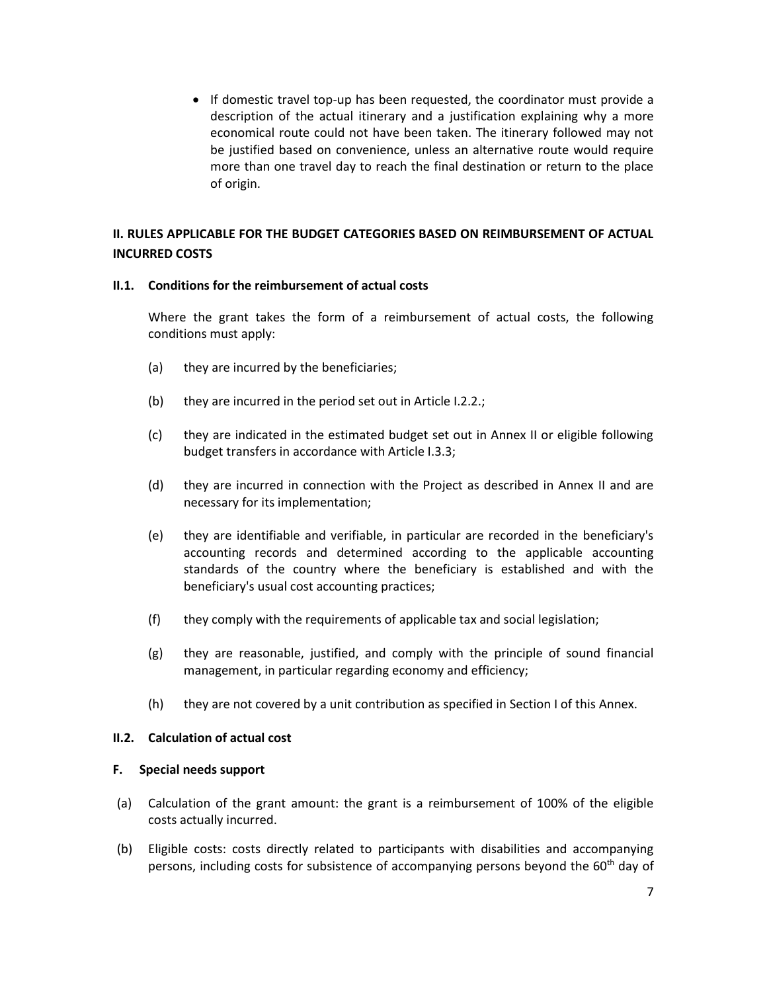• If domestic travel top-up has been requested, the coordinator must provide a description of the actual itinerary and a justification explaining why a more economical route could not have been taken. The itinerary followed may not be justified based on convenience, unless an alternative route would require more than one travel day to reach the final destination or return to the place of origin.

# **II. RULES APPLICABLE FOR THE BUDGET CATEGORIES BASED ON REIMBURSEMENT OF ACTUAL INCURRED COSTS**

## **II.1. Conditions for the reimbursement of actual costs**

Where the grant takes the form of a reimbursement of actual costs, the following conditions must apply:

- (a) they are incurred by the beneficiaries;
- (b) they are incurred in the period set out in Article I.2.2.;
- (c) they are indicated in the estimated budget set out in Annex II or eligible following budget transfers in accordance with Article I.3.3;
- (d) they are incurred in connection with the Project as described in Annex II and are necessary for its implementation;
- (e) they are identifiable and verifiable, in particular are recorded in the beneficiary's accounting records and determined according to the applicable accounting standards of the country where the beneficiary is established and with the beneficiary's usual cost accounting practices;
- (f) they comply with the requirements of applicable tax and social legislation;
- (g) they are reasonable, justified, and comply with the principle of sound financial management, in particular regarding economy and efficiency;
- (h) they are not covered by a unit contribution as specified in Section I of this Annex.

#### **II.2. Calculation of actual cost**

#### **F. Special needs support**

- (a) Calculation of the grant amount: the grant is a reimbursement of 100% of the eligible costs actually incurred.
- (b) Eligible costs: costs directly related to participants with disabilities and accompanying persons, including costs for subsistence of accompanying persons beyond the 60<sup>th</sup> day of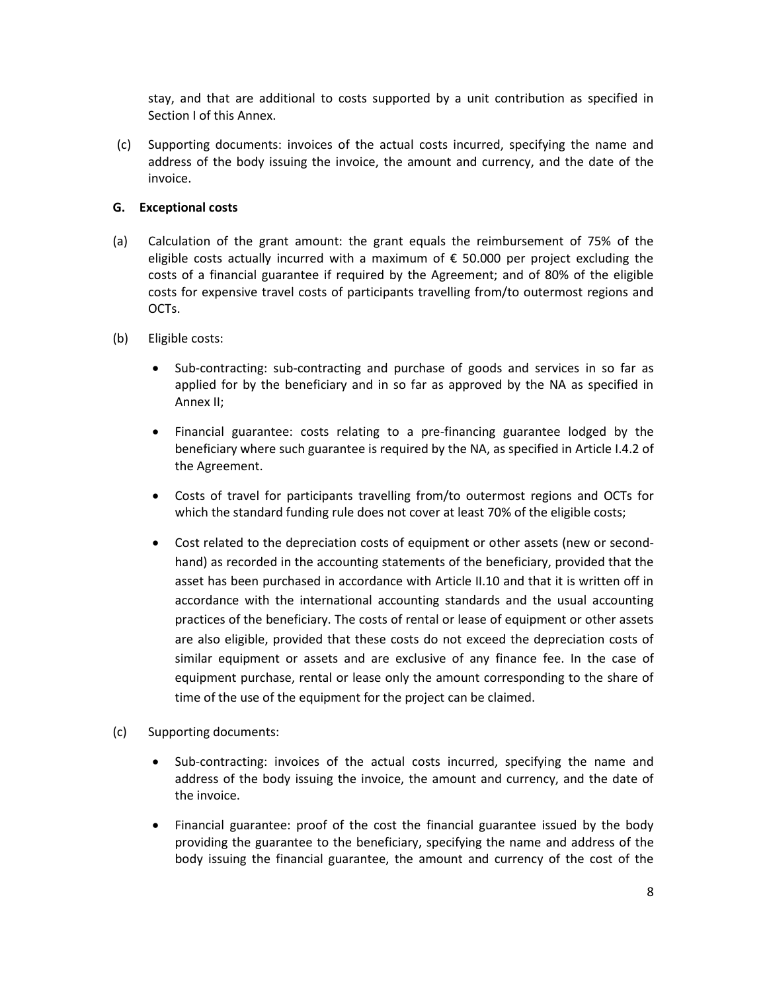stay, and that are additional to costs supported by a unit contribution as specified in Section I of this Annex.

(c) Supporting documents: invoices of the actual costs incurred, specifying the name and address of the body issuing the invoice, the amount and currency, and the date of the invoice.

## **G. Exceptional costs**

- (a) Calculation of the grant amount: the grant equals the reimbursement of 75% of the eligible costs actually incurred with a maximum of  $\epsilon$  50.000 per project excluding the costs of a financial guarantee if required by the Agreement; and of 80% of the eligible costs for expensive travel costs of participants travelling from/to outermost regions and OCTs.
- (b) Eligible costs:
	- Sub-contracting: sub-contracting and purchase of goods and services in so far as applied for by the beneficiary and in so far as approved by the NA as specified in Annex II;
	- Financial guarantee: costs relating to a pre-financing guarantee lodged by the beneficiary where such guarantee is required by the NA, as specified in Article I.4.2 of the Agreement.
	- Costs of travel for participants travelling from/to outermost regions and OCTs for which the standard funding rule does not cover at least 70% of the eligible costs;
	- Cost related to the depreciation costs of equipment or other assets (new or secondhand) as recorded in the accounting statements of the beneficiary, provided that the asset has been purchased in accordance with Article II.10 and that it is written off in accordance with the international accounting standards and the usual accounting practices of the beneficiary. The costs of rental or lease of equipment or other assets are also eligible, provided that these costs do not exceed the depreciation costs of similar equipment or assets and are exclusive of any finance fee. In the case of equipment purchase, rental or lease only the amount corresponding to the share of time of the use of the equipment for the project can be claimed.
- (c) Supporting documents:
	- Sub-contracting: invoices of the actual costs incurred, specifying the name and address of the body issuing the invoice, the amount and currency, and the date of the invoice.
	- Financial guarantee: proof of the cost the financial guarantee issued by the body providing the guarantee to the beneficiary, specifying the name and address of the body issuing the financial guarantee, the amount and currency of the cost of the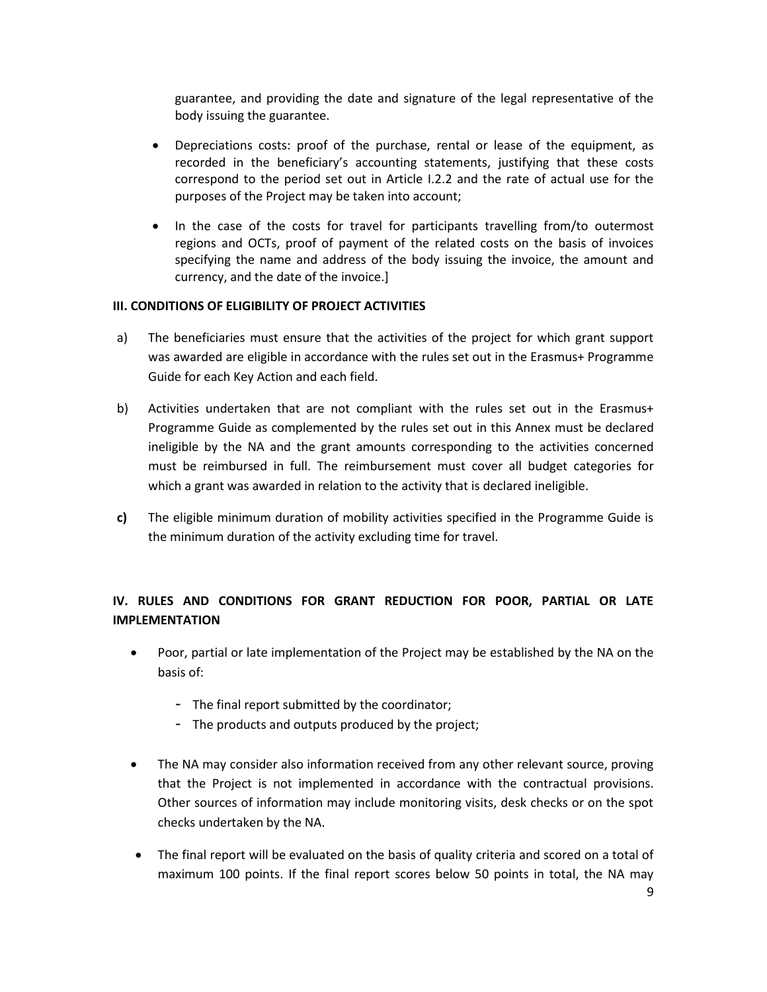guarantee, and providing the date and signature of the legal representative of the body issuing the guarantee.

- Depreciations costs: proof of the purchase, rental or lease of the equipment, as recorded in the beneficiary's accounting statements, justifying that these costs correspond to the period set out in Article I.2.2 and the rate of actual use for the purposes of the Project may be taken into account;
- In the case of the costs for travel for participants travelling from/to outermost regions and OCTs, proof of payment of the related costs on the basis of invoices specifying the name and address of the body issuing the invoice, the amount and currency, and the date of the invoice.]

## **III. CONDITIONS OF ELIGIBILITY OF PROJECT ACTIVITIES**

- a) The beneficiaries must ensure that the activities of the project for which grant support was awarded are eligible in accordance with the rules set out in the Erasmus+ Programme Guide for each Key Action and each field.
- b) Activities undertaken that are not compliant with the rules set out in the Erasmus+ Programme Guide as complemented by the rules set out in this Annex must be declared ineligible by the NA and the grant amounts corresponding to the activities concerned must be reimbursed in full. The reimbursement must cover all budget categories for which a grant was awarded in relation to the activity that is declared ineligible.
- **c)** The eligible minimum duration of mobility activities specified in the Programme Guide is the minimum duration of the activity excluding time for travel.

# **IV. RULES AND CONDITIONS FOR GRANT REDUCTION FOR POOR, PARTIAL OR LATE IMPLEMENTATION**

- Poor, partial or late implementation of the Project may be established by the NA on the basis of:
	- The final report submitted by the coordinator;
	- The products and outputs produced by the project;
- The NA may consider also information received from any other relevant source, proving that the Project is not implemented in accordance with the contractual provisions. Other sources of information may include monitoring visits, desk checks or on the spot checks undertaken by the NA.
- The final report will be evaluated on the basis of quality criteria and scored on a total of maximum 100 points. If the final report scores below 50 points in total, the NA may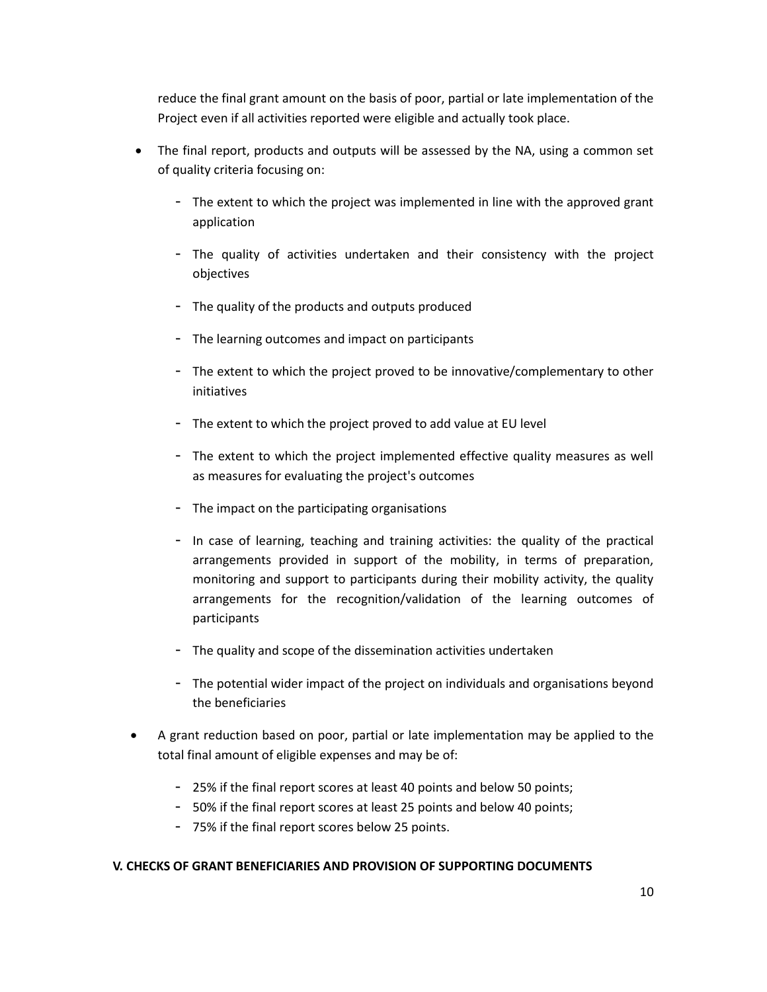reduce the final grant amount on the basis of poor, partial or late implementation of the Project even if all activities reported were eligible and actually took place.

- The final report, products and outputs will be assessed by the NA, using a common set of quality criteria focusing on:
	- The extent to which the project was implemented in line with the approved grant application
	- The quality of activities undertaken and their consistency with the project objectives
	- The quality of the products and outputs produced
	- The learning outcomes and impact on participants
	- The extent to which the project proved to be innovative/complementary to other initiatives
	- The extent to which the project proved to add value at EU level
	- The extent to which the project implemented effective quality measures as well as measures for evaluating the project's outcomes
	- The impact on the participating organisations
	- In case of learning, teaching and training activities: the quality of the practical arrangements provided in support of the mobility, in terms of preparation, monitoring and support to participants during their mobility activity, the quality arrangements for the recognition/validation of the learning outcomes of participants
	- The quality and scope of the dissemination activities undertaken
	- The potential wider impact of the project on individuals and organisations beyond the beneficiaries
- A grant reduction based on poor, partial or late implementation may be applied to the total final amount of eligible expenses and may be of:
	- 25% if the final report scores at least 40 points and below 50 points;
	- 50% if the final report scores at least 25 points and below 40 points;
	- 75% if the final report scores below 25 points.

## **V. CHECKS OF GRANT BENEFICIARIES AND PROVISION OF SUPPORTING DOCUMENTS**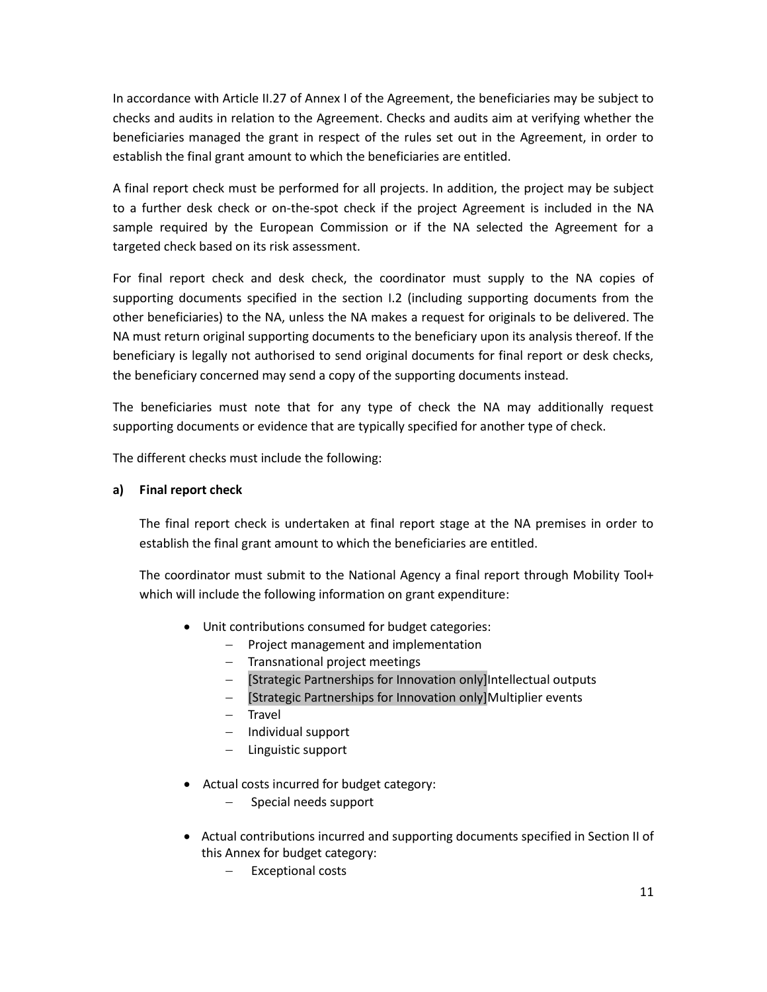In accordance with Article II.27 of Annex I of the Agreement, the beneficiaries may be subject to checks and audits in relation to the Agreement. Checks and audits aim at verifying whether the beneficiaries managed the grant in respect of the rules set out in the Agreement, in order to establish the final grant amount to which the beneficiaries are entitled.

A final report check must be performed for all projects. In addition, the project may be subject to a further desk check or on-the-spot check if the project Agreement is included in the NA sample required by the European Commission or if the NA selected the Agreement for a targeted check based on its risk assessment.

For final report check and desk check, the coordinator must supply to the NA copies of supporting documents specified in the section I.2 (including supporting documents from the other beneficiaries) to the NA, unless the NA makes a request for originals to be delivered. The NA must return original supporting documents to the beneficiary upon its analysis thereof. If the beneficiary is legally not authorised to send original documents for final report or desk checks, the beneficiary concerned may send a copy of the supporting documents instead.

The beneficiaries must note that for any type of check the NA may additionally request supporting documents or evidence that are typically specified for another type of check.

The different checks must include the following:

# **a) Final report check**

The final report check is undertaken at final report stage at the NA premises in order to establish the final grant amount to which the beneficiaries are entitled.

The coordinator must submit to the National Agency a final report through Mobility Tool+ which will include the following information on grant expenditure:

- Unit contributions consumed for budget categories:
	- $-$  Project management and implementation
	- Transnational project meetings
	- [Strategic Partnerships for Innovation only]Intellectual outputs
	- [Strategic Partnerships for Innovation only]Multiplier events
	- $-$  Travel
	- $-$  Individual support
	- Linguistic support
- Actual costs incurred for budget category:
	- $-$  Special needs support
- Actual contributions incurred and supporting documents specified in Section II of this Annex for budget category:
	- Exceptional costs